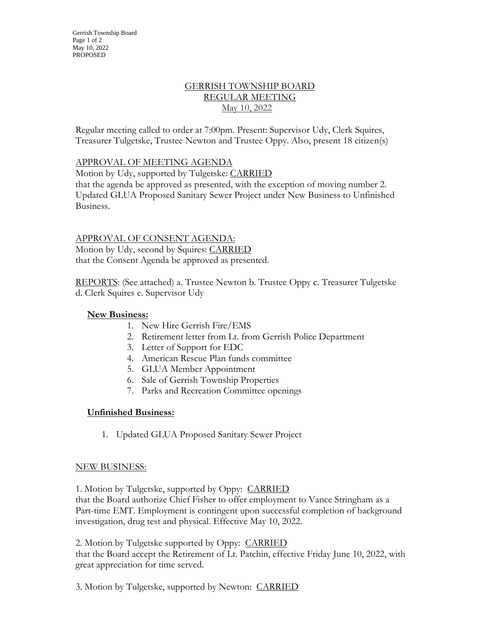# GERRISH TOWNSHIP BOARD REGULAR MEETING May 10, 2022

Regular meeting called to order at 7:00pm. Present: Supervisor Udy, Clerk Squires, Treasurer Tulgetske, Trustee Newton and Trustee Oppy. Also, present 18 citizen(s)

## APPROVAL OF MEETING AGENDA

Motion by Udy, supported by Tulgetske: CARRIED

that the agenda be approved as presented, with the exception of moving number 2. Updated GLUA Proposed Sanitary Sewer Project under New Business to Unfinished Business.

APPROVAL OF CONSENT AGENDA: Motion by Udy, second by Squires: CARRIED that the Consent Agenda be approved as presented.

REPORTS: (See attached) a. Trustee Newton b. Trustee Oppy c. Treasurer Tulgetske d. Clerk Squires e. Supervisor Udy

### **New Business:**

- 1. New Hire Gerrish Fire/EMS
- 2. Retirement letter from Lt. from Gerrish Police Department
- 3. Letter of Support for EDC
- 4. American Rescue Plan funds committee
- 5. GLUA Member Appointment
- 6. Sale of Gerrish Township Properties
- 7. Parks and Recreation Committee openings

#### **Unfinished Business:**

1. Updated GLUA Proposed Sanitary Sewer Project

#### NEW BUSINESS:

1. Motion by Tulgetske, supported by Oppy: CARRIED that the Board authorize Chief Fisher to offer employment to Vance Stringham as a Part-time EMT. Employment is contingent upon successful completion of background investigation, drug test and physical. Effective May 10, 2022.

2. Motion by Tulgetske supported by Oppy: CARRIED that the Board accept the Retirement of Lt. Patchin, effective Friday June 10, 2022, with great appreciation for time served.

3. Motion by Tulgetske, supported by Newton: CARRIED